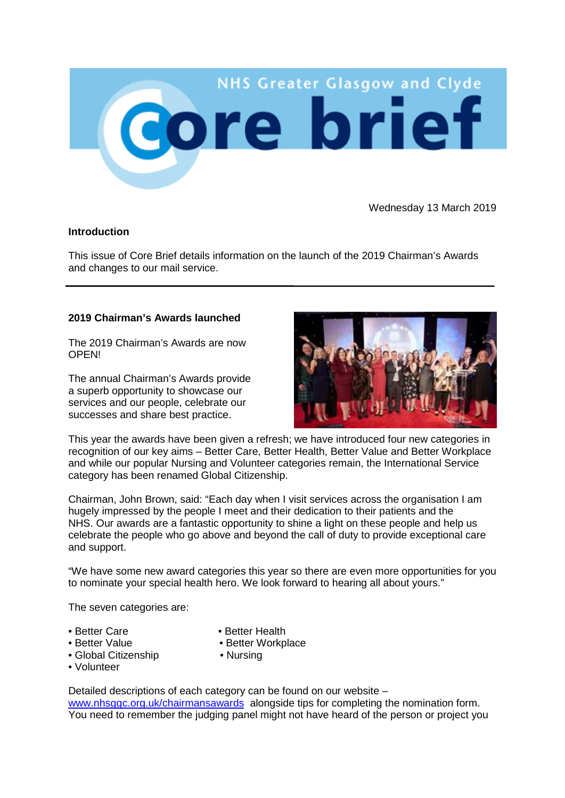

Wednesday 13 March 2019

## **Introduction**

This issue of Core Brief details information on the launch of the 2019 Chairman's Awards and changes to our mail service.

## **2019 Chairman's Awards launched**

The 2019 Chairman's Awards are now **OPEN!** 

The annual Chairman's Awards provide a superb opportunity to showcase our services and our people, celebrate our successes and share best practice.



This year the awards have been given a refresh; we have introduced four new categories in recognition of our key aims – Better Care, Better Health, Better Value and Better Workplace and while our popular Nursing and Volunteer categories remain, the International Service category has been renamed Global Citizenship.

Chairman, John Brown, said: "Each day when I visit services across the organisation I am hugely impressed by the people I meet and their dedication to their patients and the NHS. Our awards are a fantastic opportunity to shine a light on these people and help us celebrate the people who go above and beyond the call of duty to provide exceptional care and support.

"We have some new award categories this year so there are even more opportunities for you to nominate your special health hero. We look forward to hearing all about yours."

The seven categories are:

- 
- Better Care • Better Health<br>• Better Value • Better Workp
- 
- Better Workplace
- Global Citizenship Nursing
- Volunteer

Detailed descriptions of each category can be found on our website – [www.nhsggc.org.uk/chairmansawards](http://www.nhsggc.org.uk/chairmansawards) alongside tips for completing the nomination form. You need to remember the judging panel might not have heard of the person or project you